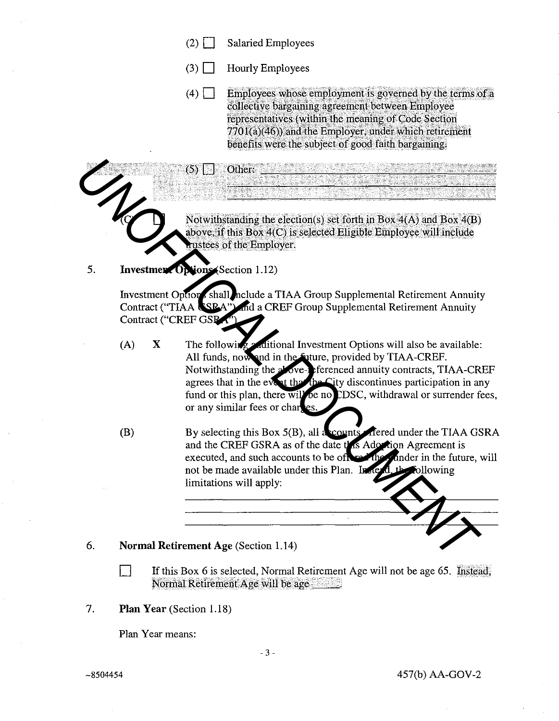- $(2)$ **Salaried Employees**
- $(3) \Box$ **Hourly Employees**

Other:

 $(4)$ Employees whose employment is governed by the terms of a collective bargaining agreement between Employee representatives (within the meaning of Code Section  $7701(a)(46)$  and the Employer, under which retirement benefits were the subject of good faith bargaining.

<u> San Sigirika wa Asiar Si</u>

Notwithstanding the election(s) set forth in Box  $4(A)$  and Box  $4(B)$ above, if this Box 4(C) is selected Eligible Employee will include tustees of the Employer.

## Investment Options (Section 1.12) 5.

 $(5)$ 

Investment Option shall nclude a TIAA Group Supplemental Retirement Annuity Contract ("TIAA SSRA") and a CREF Group Supplemental Retirement Annuity Contract ("CREF GSRA")

- The following a ditional Investment Options will also be available: X  $(A)$ All funds, now and in the future, provided by TIAA-CREF. Notwithstanding the above-referenced annuity contracts, TIAA-CREF agrees that in the event that the City discontinues participation in any fund or this plan, there will be no CDSC, withdrawal or surrender fees, or any similar fees or charges.
- By selecting this Box 5(B), all acounts. Thered under the TIAA GSRA  $(B)$ and the CREF GSRA as of the date this Ador tion Agreement is executed, and such accounts to be of The cander in the future, will not be made available under this Plan. In ՛ +ե bllowing limitations will apply:

## 6. **Normal Retirement Age (Section 1.14)**

П If this Box 6 is selected, Normal Retirement Age will not be age 65. Instead, Normal Retirement Age will be age

7. Plan Year (Section 1.18)

Plan Year means: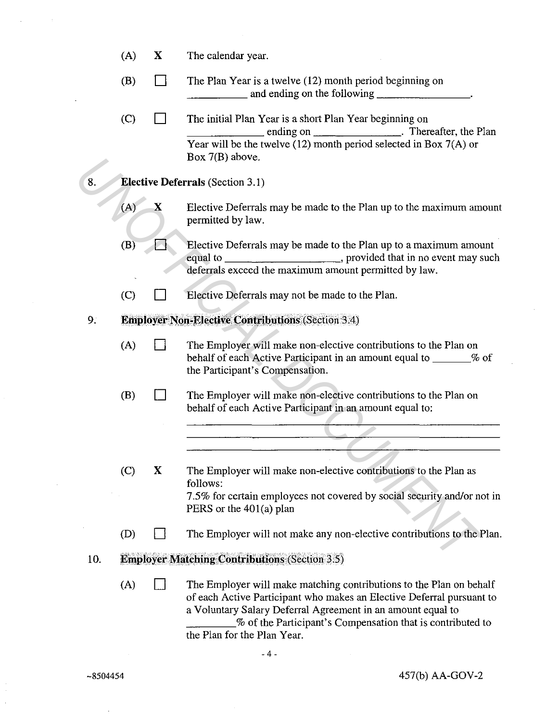|     | (A) | X                                       | The calendar year.                                                                                                                                                                                                                                                                                       |  |  |  |  |
|-----|-----|-----------------------------------------|----------------------------------------------------------------------------------------------------------------------------------------------------------------------------------------------------------------------------------------------------------------------------------------------------------|--|--|--|--|
|     | (B) |                                         | The Plan Year is a twelve (12) month period beginning on                                                                                                                                                                                                                                                 |  |  |  |  |
|     | (C) |                                         | The initial Plan Year is a short Plan Year beginning on<br>ending on _____________________. Thereafter, the Plan<br>Year will be the twelve $(12)$ month period selected in Box 7(A) or<br>Box $7(B)$ above.                                                                                             |  |  |  |  |
| 8.  |     | <b>Elective Deferrals</b> (Section 3.1) |                                                                                                                                                                                                                                                                                                          |  |  |  |  |
|     | (A) | x                                       | Elective Deferrals may be made to the Plan up to the maximum amount<br>permitted by law.                                                                                                                                                                                                                 |  |  |  |  |
|     | (B) |                                         | Elective Deferrals may be made to the Plan up to a maximum amount<br>equal to ___________________________, provided that in no event may such<br>deferrals exceed the maximum amount permitted by law.                                                                                                   |  |  |  |  |
|     | (C) |                                         | Elective Deferrals may not be made to the Plan.                                                                                                                                                                                                                                                          |  |  |  |  |
| 9:  |     |                                         | <b>Employer Non-Elective Contributions (Section 3.4)</b>                                                                                                                                                                                                                                                 |  |  |  |  |
|     | (A) |                                         | The Employer will make non-elective contributions to the Plan on<br>behalf of each Active Participant in an amount equal to _______% of<br>the Participant's Compensation.                                                                                                                               |  |  |  |  |
|     | (B) |                                         | The Employer will make non-elective contributions to the Plan on<br>behalf of each Active Participant in an amount equal to:                                                                                                                                                                             |  |  |  |  |
|     |     |                                         |                                                                                                                                                                                                                                                                                                          |  |  |  |  |
|     | (C) | X                                       | The Employer will make non-elective contributions to the Plan as<br>follows:<br>7.5% for certain employees not covered by social security and/or not in<br>PERS or the 401(a) plan                                                                                                                       |  |  |  |  |
|     | (D) |                                         | The Employer will not make any non-elective contributions to the Plan.                                                                                                                                                                                                                                   |  |  |  |  |
| 10. |     |                                         | <b>Employer Matching Contributions (Section 3.5)</b>                                                                                                                                                                                                                                                     |  |  |  |  |
|     | (A) |                                         | The Employer will make matching contributions to the Plan on behalf<br>of each Active Participant who makes an Elective Deferral pursuant to<br>a Voluntary Salary Deferral Agreement in an amount equal to<br>% of the Participant's Compensation that is contributed to<br>the Plan for the Plan Year. |  |  |  |  |

 $\bar{z}$ 

457(b) AA-GOV-2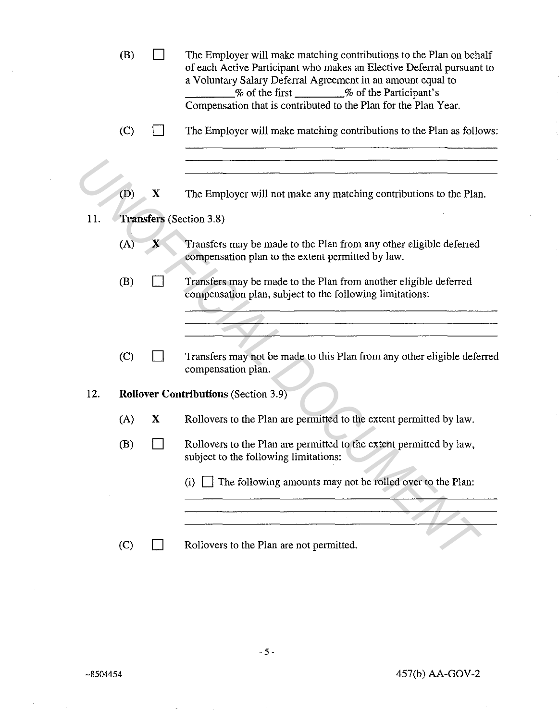|                                       | (B)                                         |              | The Employer will make matching contributions to the Plan on behalf<br>of each Active Participant who makes an Elective Deferral pursuant to<br>a Voluntary Salary Deferral Agreement in an amount equal to<br>% of the first _______% of the Participant's<br>Compensation that is contributed to the Plan for the Plan Year. |  |  |  |  |
|---------------------------------------|---------------------------------------------|--------------|--------------------------------------------------------------------------------------------------------------------------------------------------------------------------------------------------------------------------------------------------------------------------------------------------------------------------------|--|--|--|--|
|                                       | (C)                                         |              | The Employer will make matching contributions to the Plan as follows:                                                                                                                                                                                                                                                          |  |  |  |  |
|                                       | (D)                                         | $\mathbf{X}$ | The Employer will not make any matching contributions to the Plan.                                                                                                                                                                                                                                                             |  |  |  |  |
| 11.<br><b>Transfers</b> (Section 3.8) |                                             |              |                                                                                                                                                                                                                                                                                                                                |  |  |  |  |
|                                       | (A)                                         | X            | Transfers may be made to the Plan from any other eligible deferred<br>compensation plan to the extent permitted by law.                                                                                                                                                                                                        |  |  |  |  |
|                                       | (B)                                         |              | Transfers may be made to the Plan from another eligible deferred<br>compensation plan, subject to the following limitations:                                                                                                                                                                                                   |  |  |  |  |
|                                       |                                             |              |                                                                                                                                                                                                                                                                                                                                |  |  |  |  |
|                                       |                                             |              |                                                                                                                                                                                                                                                                                                                                |  |  |  |  |
|                                       | (C)                                         |              | Transfers may not be made to this Plan from any other eligible deferred<br>compensation plan.                                                                                                                                                                                                                                  |  |  |  |  |
| 12.                                   | <b>Rollover Contributions (Section 3.9)</b> |              |                                                                                                                                                                                                                                                                                                                                |  |  |  |  |
|                                       | (A)                                         | X            | Rollovers to the Plan are permitted to the extent permitted by law.                                                                                                                                                                                                                                                            |  |  |  |  |
|                                       | (B)                                         |              | Rollovers to the Plan are permitted to the extent permitted by law,<br>subject to the following limitations:                                                                                                                                                                                                                   |  |  |  |  |
|                                       |                                             |              | The following amounts may not be rolled over to the Plan:<br>(i)                                                                                                                                                                                                                                                               |  |  |  |  |
|                                       |                                             |              |                                                                                                                                                                                                                                                                                                                                |  |  |  |  |
|                                       | (C)                                         |              | Rollovers to the Plan are not permitted.                                                                                                                                                                                                                                                                                       |  |  |  |  |

 $\mathcal{A}$ 

 $\sim$ 

 $\sim 10^6$ 

 $\sim$ 

 $\bar{\gamma}$